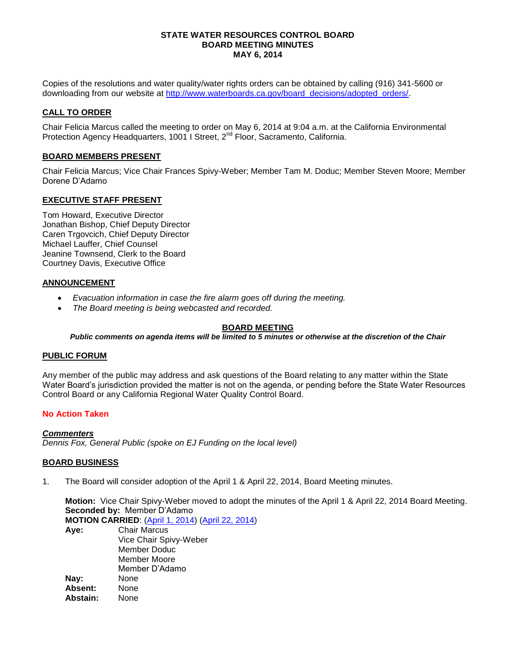#### **STATE WATER RESOURCES CONTROL BOARD BOARD MEETING MINUTES MAY 6, 2014**

Copies of the resolutions and water quality/water rights orders can be obtained by calling (916) 341-5600 or downloading from our website at http://www.waterboards.ca.gov/board\_decisions/adopted\_orders/

### **CALL TO ORDER**

Chair Felicia Marcus called the meeting to order on May 6, 2014 at 9:04 a.m. at the California Environmental Protection Agency Headquarters, 1001 I Street, 2<sup>nd</sup> Floor, Sacramento, California.

### **BOARD MEMBERS PRESENT**

Chair Felicia Marcus; Vice Chair Frances Spivy-Weber; Member Tam M. Doduc; Member Steven Moore; Member Dorene D'Adamo

### **EXECUTIVE STAFF PRESENT**

Tom Howard, Executive Director Jonathan Bishop, Chief Deputy Director Caren Trgovcich, Chief Deputy Director Michael Lauffer, Chief Counsel Jeanine Townsend, Clerk to the Board Courtney Davis, Executive Office

### **ANNOUNCEMENT**

- *Evacuation information in case the fire alarm goes off during the meeting.*
- *The Board meeting is being webcasted and recorded.*

# **BOARD MEETING**

*Public comments on agenda items will be limited to 5 minutes or otherwise at the discretion of the Chair*

### **PUBLIC FORUM**

Any member of the public may address and ask questions of the Board relating to any matter within the State Water Board's jurisdiction provided the matter is not on the agenda, or pending before the State Water Resources Control Board or any California Regional Water Quality Control Board.

### **No Action Taken**

*Commenters Dennis Fox, General Public (spoke on EJ Funding on the local level)*

### **BOARD BUSINESS**

1. The Board will consider adoption of the April 1 & April 22, 2014, Board Meeting minutes.

**Motion:** Vice Chair Spivy-Weber moved to adopt the minutes of the April 1 & April 22, 2014 Board Meeting. **Seconded by:** Member D'Adamo

**MOTION CARRIED**: [\(April 1, 2014\)](http://www.waterboards.ca.gov/board_info/minutes/2014/apr/040114mins.pdf) [\(April 22, 2014\)](http://www.waterboards.ca.gov/board_info/minutes/2014/apr/042214mins.pdf) **Aye:** Chair Marcus

Vice Chair Spivy-Weber Member Doduc Member Moore Member D'Adamo **Nay:** None **Absent:** None **Abstain:** None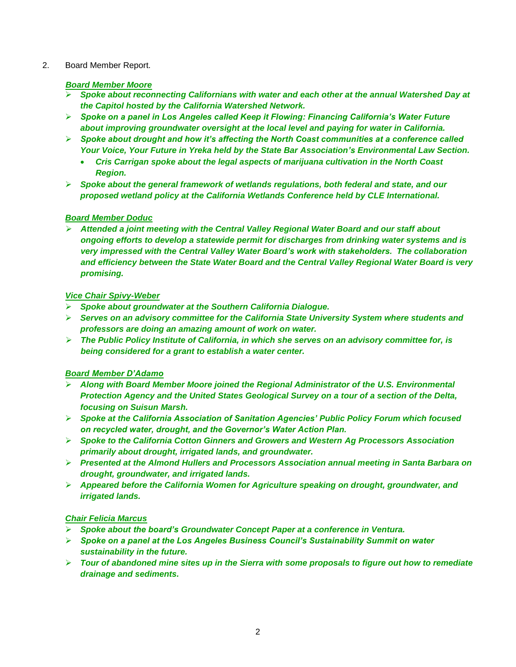## 2. Board Member Report.

## *Board Member Moore*

- *Spoke about reconnecting Californians with water and each other at the annual Watershed Day at the Capitol hosted by the California Watershed Network.*
- *Spoke on a panel in Los Angeles called Keep it Flowing: Financing California's Water Future about improving groundwater oversight at the local level and paying for water in California.*
- *Spoke about drought and how it's affecting the North Coast communities at a conference called Your Voice, Your Future in Yreka held by the State Bar Association's Environmental Law Section.*
	- *Cris Carrigan spoke about the legal aspects of marijuana cultivation in the North Coast Region.*
- *Spoke about the general framework of wetlands regulations, both federal and state, and our proposed wetland policy at the California Wetlands Conference held by CLE International.*

# *Board Member Doduc*

 *Attended a joint meeting with the Central Valley Regional Water Board and our staff about ongoing efforts to develop a statewide permit for discharges from drinking water systems and is very impressed with the Central Valley Water Board's work with stakeholders. The collaboration and efficiency between the State Water Board and the Central Valley Regional Water Board is very promising.* 

## *Vice Chair Spivy-Weber*

- *Spoke about groundwater at the Southern California Dialogue.*
- *Serves on an advisory committee for the California State University System where students and professors are doing an amazing amount of work on water.*
- *The Public Policy Institute of California, in which she serves on an advisory committee for, is being considered for a grant to establish a water center.*

# *Board Member D'Adamo*

- *Along with Board Member Moore joined the Regional Administrator of the U.S. Environmental Protection Agency and the United States Geological Survey on a tour of a section of the Delta, focusing on Suisun Marsh.*
- *Spoke at the California Association of Sanitation Agencies' Public Policy Forum which focused on recycled water, drought, and the Governor's Water Action Plan.*
- *Spoke to the California Cotton Ginners and Growers and Western Ag Processors Association primarily about drought, irrigated lands, and groundwater.*
- *Presented at the Almond Hullers and Processors Association annual meeting in Santa Barbara on drought, groundwater, and irrigated lands.*
- *Appeared before the California Women for Agriculture speaking on drought, groundwater, and irrigated lands.*

# *Chair Felicia Marcus*

- *Spoke about the board's Groundwater Concept Paper at a conference in Ventura.*
- *Spoke on a panel at the Los Angeles Business Council's Sustainability Summit on water sustainability in the future.*
- *Tour of abandoned mine sites up in the Sierra with some proposals to figure out how to remediate drainage and sediments.*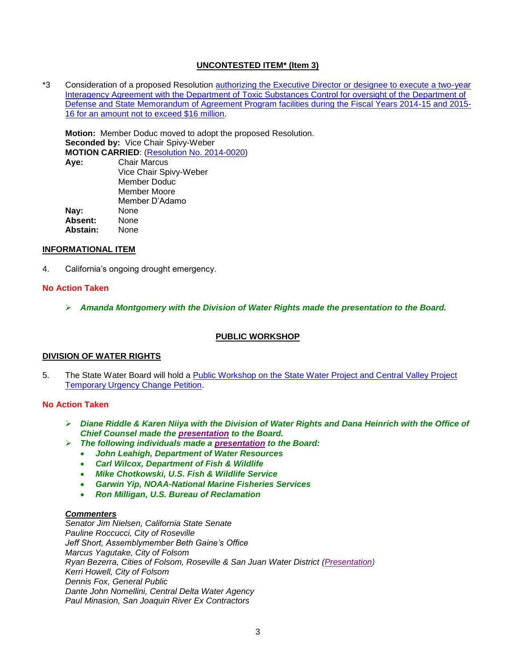### **UNCONTESTED ITEM\* (Item 3)**

\*3 Consideration of a proposed Resolution [authorizing the Executive Director or designee to execute a two-year](http://www.waterboards.ca.gov/board_info/agendas/2014/may/050614_3.pdf)  [Interagency Agreement with the Department of Toxic Substances Control for oversight of the Department of](http://www.waterboards.ca.gov/board_info/agendas/2014/may/050614_3.pdf)  [Defense and State Memorandum of Agreement Program facilities during the Fiscal Years 2014-15 and 2015-](http://www.waterboards.ca.gov/board_info/agendas/2014/may/050614_3.pdf) [16 for an amount not to exceed \\$16 million.](http://www.waterboards.ca.gov/board_info/agendas/2014/may/050614_3.pdf)

**Motion:** Member Doduc moved to adopt the proposed Resolution. **Seconded by:** Vice Chair Spivy-Weber **MOTION CARRIED**: [\(Resolution No. 2014-0020\)](http://www.waterboards.ca.gov/board_decisions/adopted_orders/resolutions/2014/rs2014_0020.pdf) **Aye:** Chair Marcus Vice Chair Spivy-Weber Member Doduc Member Moore Member D'Adamo **Nay:** None

**Absent:** None **Abstain:** None

### **INFORMATIONAL ITEM**

4. California's ongoing drought emergency.

### **No Action Taken**

*Amanda Montgomery with the Division of Water Rights made the presentation to the Board.*

## **PUBLIC WORKSHOP**

### **DIVISION OF WATER RIGHTS**

5. The State Water Board will hold a [Public Workshop on the State Water Project and Central Valley Project](http://www.waterboards.ca.gov/waterrights/water_issues/programs/drought/docs/tucp/20140506_notice_tucp.pdf)  [Temporary Urgency Change Petition.](http://www.waterboards.ca.gov/waterrights/water_issues/programs/drought/docs/tucp/20140506_notice_tucp.pdf)

### **No Action Taken**

- *Diane Riddle & Karen Niiya with the Division of Water Rights and Dana Heinrich with the Office of Chief Counsel made the [presentation](http://www.waterboards.ca.gov/board_info/minutes/2014/may/050614_5_staff_pres.pdf) to the Board.*
- *The following individuals made a [presentation](http://www.waterboards.ca.gov/board_info/minutes/2014/may/050614_5_dwr_pres.pdf) to the Board:*
	- *John Leahigh, Department of Water Resources*
	- *Carl Wilcox, Department of Fish & Wildlife*
	- *Mike Chotkowski, U.S. Fish & Wildlife Service*
	- *Garwin Yip, NOAA-National Marine Fisheries Services*
	- *Ron Milligan, U.S. Bureau of Reclamation*

## *Commenters*

*Senator Jim Nielsen, California State Senate Pauline Roccucci, City of Roseville Jeff Short, Assemblymember Beth Gaine's Office Marcus Yagutake, City of Folsom Ryan Bezerra, Cities of Folsom, Roseville & San Juan Water District [\(Presentation\)](http://www.waterboards.ca.gov/board_info/minutes/2014/may/050614_5_folsomcity_pres.pdf) Kerri Howell, City of Folsom Dennis Fox, General Public Dante John Nomellini, Central Delta Water Agency Paul Minasion, San Joaquin River Ex Contractors*